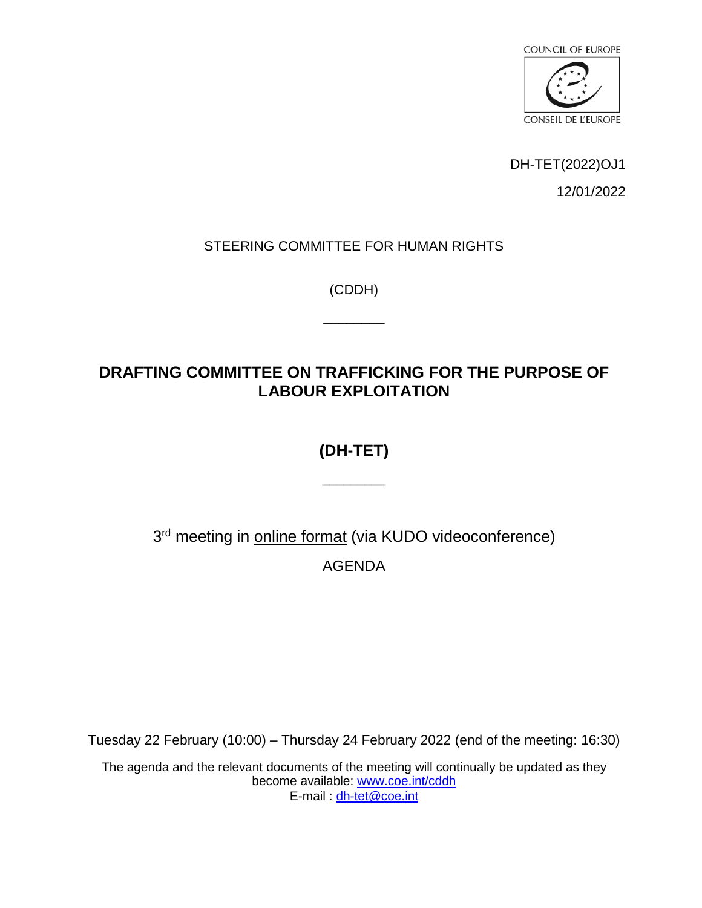

DH-TET(2022)OJ1

12/01/2022

#### STEERING COMMITTEE FOR HUMAN RIGHTS

(CDDH)

 $\overline{\phantom{a}}$ 

# **DRAFTING COMMITTEE ON TRAFFICKING FOR THE PURPOSE OF LABOUR EXPLOITATION**

# **(DH-TET)**

\_\_\_\_\_\_\_\_\_

3<sup>rd</sup> meeting in **online format** (via KUDO videoconference) AGENDA

Tuesday 22 February (10:00) – Thursday 24 February 2022 (end of the meeting: 16:30)

The agenda and the relevant documents of the meeting will continually be updated as they become available: [www.coe.int/cddh](https://www.coe.int/en/web/human-rights-intergovernmental-cooperation/home) E-mail : [dh-tet@coe.int](mailto:dh-tet@coe.int)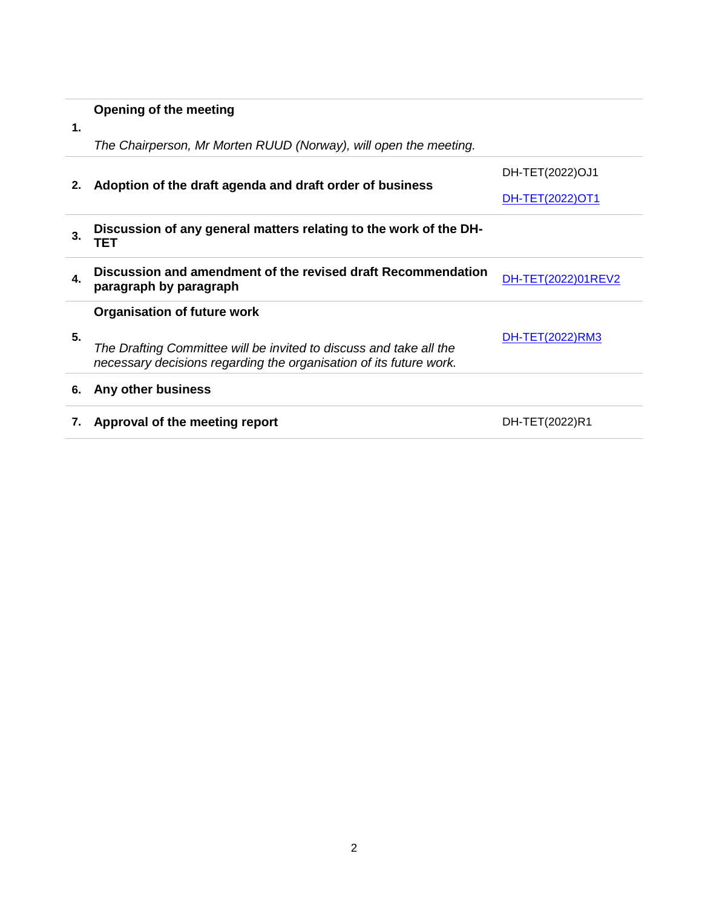### **Opening of the meeting**

**1.**

*The Chairperson, Mr Morten RUUD (Norway), will open the meeting.* 

| 2. | Adoption of the draft agenda and draft order of business                                                                                 | DH-TET(2022)OJ1    |
|----|------------------------------------------------------------------------------------------------------------------------------------------|--------------------|
|    |                                                                                                                                          | DH-TET(2022)OT1    |
| 3. | Discussion of any general matters relating to the work of the DH-<br>TET                                                                 |                    |
| 4. | Discussion and amendment of the revised draft Recommendation<br>paragraph by paragraph                                                   | DH-TET(2022)01REV2 |
|    | <b>Organisation of future work</b>                                                                                                       |                    |
| 5. | The Drafting Committee will be invited to discuss and take all the<br>necessary decisions regarding the organisation of its future work. | DH-TET(2022)RM3    |
| 6. | Any other business                                                                                                                       |                    |
|    | Approval of the meeting report                                                                                                           | DH-TET(2022)R1     |